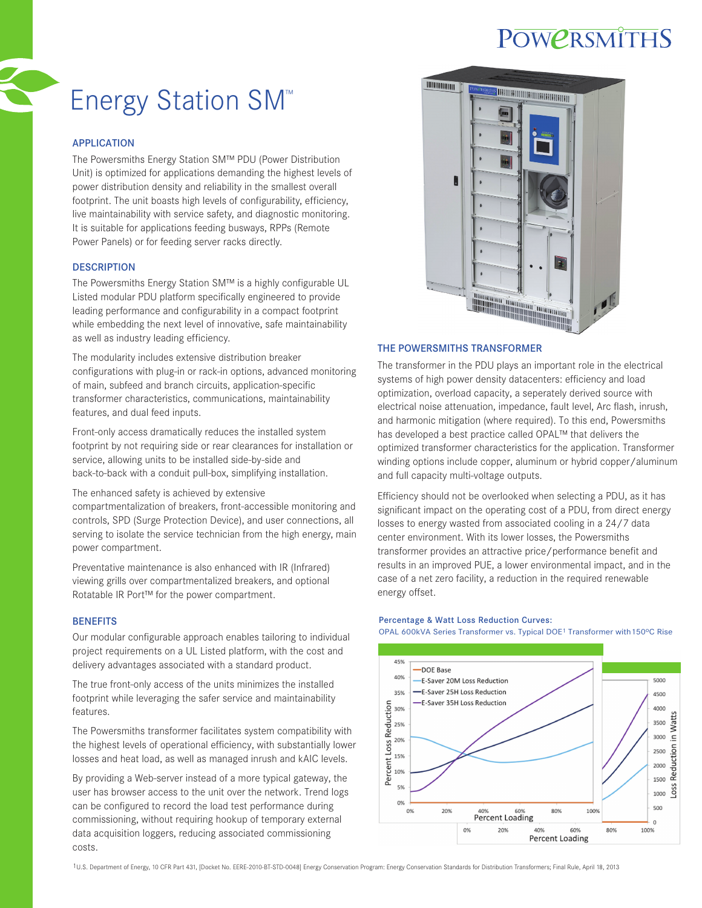## **POWERSMITHS**

# Energy Station SM™

## APPLICATION

The Powersmiths Energy Station SM™ PDU (Power Distribution Unit) is optimized for applications demanding the highest levels of power distribution density and reliability in the smallest overall footprint. The unit boasts high levels of configurability, efficiency, live maintainability with service safety, and diagnostic monitoring. It is suitable for applications feeding busways, RPPs (Remote Power Panels) or for feeding server racks directly.

## **DESCRIPTION**

The Powersmiths Energy Station SM™ is a highly configurable UL Listed modular PDU platform specifically engineered to provide leading performance and configurability in a compact footprint while embedding the next level of innovative, safe maintainability as well as industry leading efficiency.

The modularity includes extensive distribution breaker configurations with plug-in or rack-in options, advanced monitoring of main, subfeed and branch circuits, application-specific transformer characteristics, communications, maintainability features, and dual feed inputs.

Front-only access dramatically reduces the installed system footprint by not requiring side or rear clearances for installation or service, allowing units to be installed side-by-side and back-to-back with a conduit pull-box, simplifying installation.

The enhanced safety is achieved by extensive

compartmentalization of breakers, front-accessible monitoring and controls, SPD (Surge Protection Device), and user connections, all serving to isolate the service technician from the high energy, main power compartment.

Preventative maintenance is also enhanced with IR (Infrared) viewing grills over compartmentalized breakers, and optional Rotatable IR Port™ for the power compartment.

## **BENEFITS**

Our modular configurable approach enables tailoring to individual project requirements on a UL Listed platform, with the cost and delivery advantages associated with a standard product.

The true front-only access of the units minimizes the installed footprint while leveraging the safer service and maintainability features.

The Powersmiths transformer facilitates system compatibility with the highest levels of operational efficiency, with substantially lower losses and heat load, as well as managed inrush and kAIC levels.

By providing a Web-server instead of a more typical gateway, the user has browser access to the unit over the network. Trend logs can be configured to record the load test performance during commissioning, without requiring hookup of temporary external data acquisition loggers, reducing associated commissioning costs.



#### THE POWERSMITHS TRANSFORMER

The transformer in the PDU plays an important role in the electrical systems of high power density datacenters: efficiency and load optimization, overload capacity, a seperately derived source with electrical noise attenuation, impedance, fault level, Arc flash, inrush, and harmonic mitigation (where required). To this end, Powersmiths has developed a best practice called OPAL™ that delivers the optimized transformer characteristics for the application. Transformer winding options include copper, aluminum or hybrid copper/aluminum and full capacity multi-voltage outputs.

Efficiency should not be overlooked when selecting a PDU, as it has significant impact on the operating cost of a PDU, from direct energy losses to energy wasted from associated cooling in a 24/7 data center environment. With its lower losses, the Powersmiths transformer provides an attractive price/performance benefit and results in an improved PUE, a lower environmental impact, and in the case of a net zero facility, a reduction in the required renewable energy offset.

#### Percentage & Watt Loss Reduction Curves:

OPAL 600kVA Series Transformer vs. Typical DOE<sup>1</sup> Transformer with 150°C Rise



1U.S. Department of Energy, 10 CFR Part 431, [Docket No. EERE-2010-BT-STD-0048] Energy Conservation Program: Energy Conservation Standards for Distribution Transformers; Final Rule, April 18, 2013